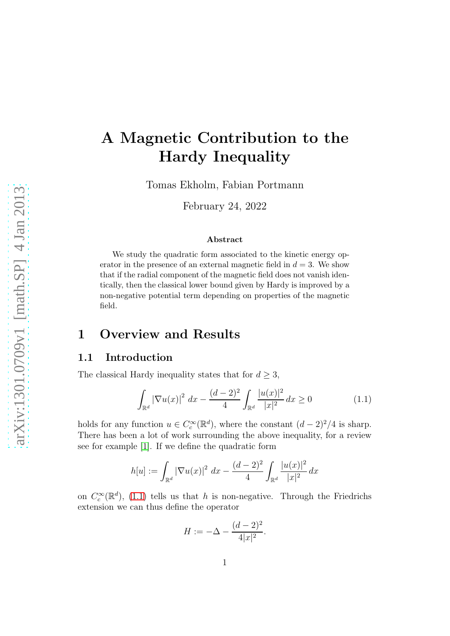# A Magnetic Contribution to the Hardy Inequality

Tomas Ekholm, Fabian Portmann

February 24, 2022

#### Abstract

We study the quadratic form associated to the kinetic energy operator in the presence of an external magnetic field in  $d = 3$ . We show that if the radial component of the magnetic field does not vanish identically, then the classical lower bound given by Hardy is improved by a non-negative potential term depending on properties of the magnetic field.

## 1 Overview and Results

### 1.1 Introduction

The classical Hardy inequality states that for  $d \geq 3$ ,

$$
\int_{\mathbb{R}^d} |\nabla u(x)|^2 \, dx - \frac{(d-2)^2}{4} \int_{\mathbb{R}^d} \frac{|u(x)|^2}{|x|^2} \, dx \ge 0 \tag{1.1}
$$

holds for any function  $u \in C_c^{\infty}(\mathbb{R}^d)$ , where the constant  $(d-2)^2/4$  is sharp. There has been a lot of work surrounding the above inequality, for a review see for example [\[1\]](#page-20-0). If we define the quadratic form

$$
h[u] := \int_{\mathbb{R}^d} |\nabla u(x)|^2 \, dx - \frac{(d-2)^2}{4} \int_{\mathbb{R}^d} \frac{|u(x)|^2}{|x|^2} \, dx
$$

on  $C_c^{\infty}(\mathbb{R}^d)$ , [\(1.1\)](#page-0-0) tells us that h is non-negative. Through the Friedrichs extension we can thus define the operator

<span id="page-0-0"></span>
$$
H := -\Delta - \frac{(d-2)^2}{4|x|^2}.
$$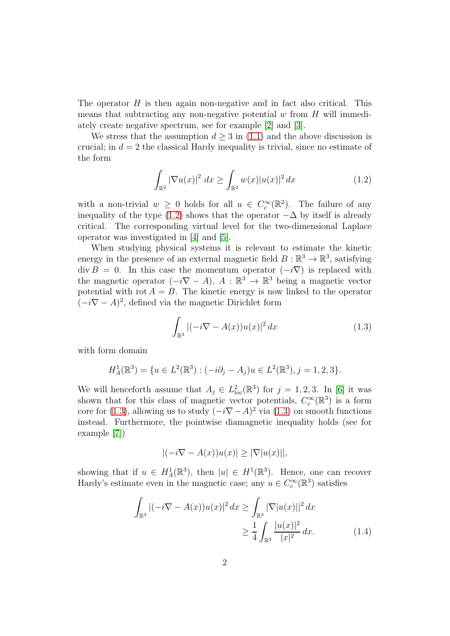The operator  $H$  is then again non-negative and in fact also critical. This means that subtracting any non-negative potential  $w$  from  $H$  will immediately create negative spectrum, see for example [\[2\]](#page-20-1) and [\[3\]](#page-20-2).

We stress that the assumption  $d \geq 3$  in [\(1.1\)](#page-0-0) and the above discussion is crucial; in  $d = 2$  the classical Hardy inequality is trivial, since no estimate of the form

<span id="page-1-0"></span>
$$
\int_{\mathbb{R}^2} |\nabla u(x)|^2 \, dx \ge \int_{\mathbb{R}^2} w(x) |u(x)|^2 \, dx \tag{1.2}
$$

with a non-trivial  $w \geq 0$  holds for all  $u \in C_c^{\infty}(\mathbb{R}^2)$ . The failure of any inequality of the type [\(1.2\)](#page-1-0) shows that the operator  $-\Delta$  by itself is already critical. The corresponding virtual level for the two-dimensional Laplace operator was investigated in [\[4\]](#page-20-3) and [\[5\]](#page-20-4).

When studying physical systems it is relevant to estimate the kinetic energy in the presence of an external magnetic field  $B : \mathbb{R}^3 \to \mathbb{R}^3$ , satisfying  $\text{div } B = 0$ . In this case the momentum operator  $(-i\nabla)$  is replaced with the magnetic operator  $(-i\nabla - A)$ ,  $A : \mathbb{R}^3 \to \mathbb{R}^3$  being a magnetic vector potential with rot  $A = B$ . The kinetic energy is now linked to the operator  $(-i\nabla - A)^2$ , defined via the magnetic Dirichlet form

<span id="page-1-1"></span>
$$
\int_{\mathbb{R}^3} |(-i\nabla - A(x))u(x)|^2 dx \tag{1.3}
$$

with form domain

$$
H_A^1(\mathbb{R}^3) = \{ u \in L^2(\mathbb{R}^3) : (-i\partial_j - A_j)u \in L^2(\mathbb{R}^3), j = 1, 2, 3 \}.
$$

We will henceforth assume that  $A_j \in L^2_{loc}(\mathbb{R}^3)$  for  $j = 1, 2, 3$ . In [\[6\]](#page-20-5) it was shown that for this class of magnetic vector potentials,  $C_c^{\infty}(\mathbb{R}^3)$  is a form core for [\(1.3\)](#page-1-1), allowing us to study  $(-i\nabla - A)^2$  via (1.3) on smooth functions instead. Furthermore, the pointwise diamagnetic inequality holds (see for example [\[7\]](#page-20-6))

<span id="page-1-2"></span>
$$
|(-i\nabla - A(x))u(x)| \ge |\nabla |u(x)||,
$$

showing that if  $u \in H^1(\mathbb{R}^3)$ , then  $|u| \in H^1(\mathbb{R}^3)$ . Hence, one can recover Hardy's estimate even in the magnetic case; any  $u \in C_c^{\infty}(\mathbb{R}^3)$  satisfies

$$
\int_{\mathbb{R}^3} |(-i\nabla - A(x))u(x)|^2 dx \ge \int_{\mathbb{R}^3} |\nabla |u(x)||^2 dx
$$
  
 
$$
\ge \frac{1}{4} \int_{\mathbb{R}^3} \frac{|u(x)|^2}{|x|^2} dx.
$$
 (1.4)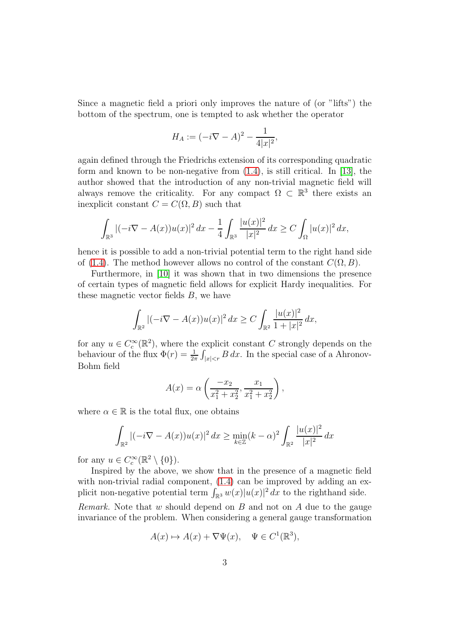Since a magnetic field a priori only improves the nature of (or "lifts") the bottom of the spectrum, one is tempted to ask whether the operator

$$
H_A := (-i\nabla - A)^2 - \frac{1}{4|x|^2},
$$

again defined through the Friedrichs extension of its corresponding quadratic form and known to be non-negative from  $(1.4)$ , is still critical. In [\[13\]](#page-21-0), the author showed that the introduction of any non-trivial magnetic field will always remove the criticality. For any compact  $\Omega \subset \mathbb{R}^3$  there exists an inexplicit constant  $C = C(\Omega, B)$  such that

$$
\int_{\mathbb{R}^3} |(-i\nabla - A(x))u(x)|^2 dx - \frac{1}{4} \int_{\mathbb{R}^3} \frac{|u(x)|^2}{|x|^2} dx \ge C \int_{\Omega} |u(x)|^2 dx,
$$

hence it is possible to add a non-trivial potential term to the right hand side of [\(1.4\)](#page-1-2). The method however allows no control of the constant  $C(\Omega, B)$ .

Furthermore, in [\[10\]](#page-21-1) it was shown that in two dimensions the presence of certain types of magnetic field allows for explicit Hardy inequalities. For these magnetic vector fields  $B$ , we have

$$
\int_{\mathbb{R}^2} |(-i\nabla - A(x))u(x)|^2 dx \ge C \int_{\mathbb{R}^2} \frac{|u(x)|^2}{1+|x|^2} dx,
$$

for any  $u \in C_c^{\infty}(\mathbb{R}^2)$ , where the explicit constant C strongly depends on the behaviour of the flux  $\Phi(r) = \frac{1}{2\pi} \int_{|x| < r} B dx$ . In the special case of a Ahronov-Bohm field

$$
A(x) = \alpha \left( \frac{-x_2}{x_1^2 + x_2^2}, \frac{x_1}{x_1^2 + x_2^2} \right),
$$

where  $\alpha \in \mathbb{R}$  is the total flux, one obtains

$$
\int_{\mathbb{R}^2} |(-i\nabla - A(x))u(x)|^2 dx \ge \min_{k \in \mathbb{Z}} (k - \alpha)^2 \int_{\mathbb{R}^2} \frac{|u(x)|^2}{|x|^2} dx
$$

for any  $u \in C_c^{\infty}(\mathbb{R}^2 \setminus \{0\}).$ 

Inspired by the above, we show that in the presence of a magnetic field with non-trivial radial component,  $(1.4)$  can be improved by adding an explicit non-negative potential term  $\int_{\mathbb{R}^3} w(x)|u(x)|^2 dx$  to the righthand side.

*Remark.* Note that  $w$  should depend on  $B$  and not on  $A$  due to the gauge invariance of the problem. When considering a general gauge transformation

$$
A(x) \mapsto A(x) + \nabla \Psi(x), \quad \Psi \in C^1(\mathbb{R}^3),
$$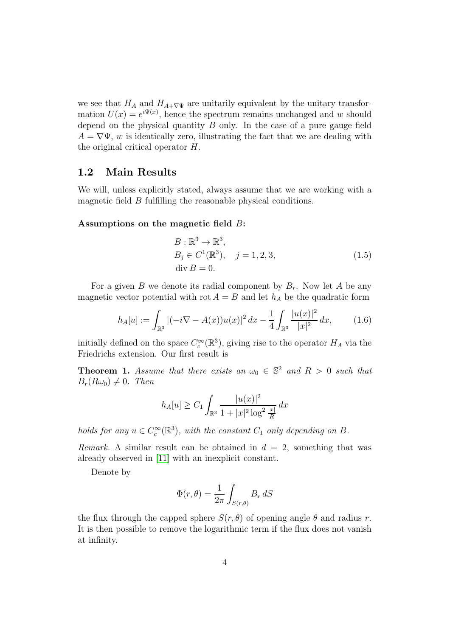we see that  $H_A$  and  $H_{A+\nabla\Psi}$  are unitarily equivalent by the unitary transformation  $U(x) = e^{i\Psi(x)}$ , hence the spectrum remains unchanged and w should depend on the physical quantity  $B$  only. In the case of a pure gauge field  $A = \nabla \Psi$ , w is identically zero, illustrating the fact that we are dealing with the original critical operator H.

#### 1.2 Main Results

We will, unless explicitly stated, always assume that we are working with a magnetic field B fulfilling the reasonable physical conditions.

#### Assumptions on the magnetic field B:

<span id="page-3-1"></span>
$$
B: \mathbb{R}^{3} \to \mathbb{R}^{3},
$$
  
\n
$$
B_{j} \in C^{1}(\mathbb{R}^{3}), \quad j = 1, 2, 3,
$$
  
\n
$$
\text{div } B = 0.
$$
\n(1.5)

For a given B we denote its radial component by  $B_r$ . Now let A be any magnetic vector potential with rot  $A = B$  and let  $h_A$  be the quadratic form

$$
h_A[u] := \int_{\mathbb{R}^3} |(-i\nabla - A(x))u(x)|^2 dx - \frac{1}{4} \int_{\mathbb{R}^3} \frac{|u(x)|^2}{|x|^2} dx,\tag{1.6}
$$

initially defined on the space  $C_c^{\infty}(\mathbb{R}^3)$ , giving rise to the operator  $H_A$  via the Friedrichs extension. Our first result is

<span id="page-3-0"></span>**Theorem 1.** Assume that there exists an  $\omega_0 \in \mathbb{S}^2$  and  $R > 0$  such that  $B_r(R\omega_0) \neq 0$ . Then

$$
h_A[u] \ge C_1 \int_{\mathbb{R}^3} \frac{|u(x)|^2}{1 + |x|^2 \log^2 \frac{|x|}{R}} dx
$$

holds for any  $u \in C_c^{\infty}(\mathbb{R}^3)$ , with the constant  $C_1$  only depending on B.

Remark. A similar result can be obtained in  $d = 2$ , something that was already observed in [\[11\]](#page-21-2) with an inexplicit constant.

Denote by

$$
\Phi(r,\theta) = \frac{1}{2\pi} \int_{S(r,\theta)} B_r \, dS
$$

the flux through the capped sphere  $S(r, \theta)$  of opening angle  $\theta$  and radius r. It is then possible to remove the logarithmic term if the flux does not vanish at infinity.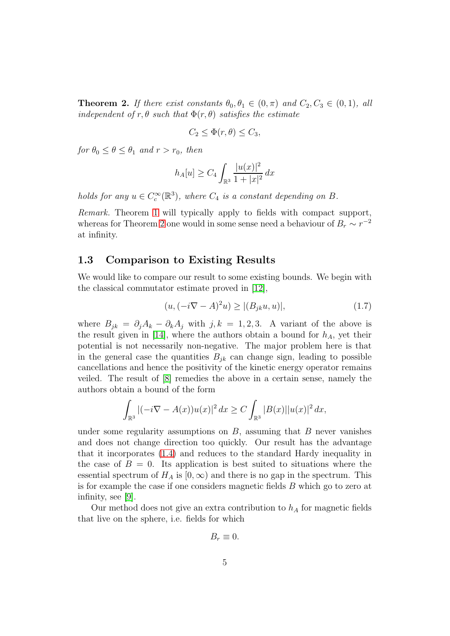<span id="page-4-0"></span>**Theorem 2.** If there exist constants  $\theta_0, \theta_1 \in (0, \pi)$  and  $C_2, C_3 \in (0, 1)$ , all independent of r,  $\theta$  such that  $\Phi(r, \theta)$  satisfies the estimate

$$
C_2 \le \Phi(r,\theta) \le C_3,
$$

for  $\theta_0 \le \theta \le \theta_1$  and  $r > r_0$ , then

$$
h_A[u] \ge C_4 \int_{\mathbb{R}^3} \frac{|u(x)|^2}{1+|x|^2} \, dx
$$

holds for any  $u \in C_c^{\infty}(\mathbb{R}^3)$ , where  $C_4$  is a constant depending on B.

Remark. Theorem [1](#page-3-0) will typically apply to fields with compact support, whereas for Theorem [2](#page-4-0) one would in some sense need a behaviour of  $B_r \sim r^{-2}$ at infinity.

#### 1.3 Comparison to Existing Results

We would like to compare our result to some existing bounds. We begin with the classical commutator estimate proved in [\[12\]](#page-21-3),

$$
(u, (-i\nabla - A)^2 u) \ge |(B_{jk}u, u)|,
$$
\n(1.7)

where  $B_{jk} = \partial_j A_k - \partial_k A_j$  with  $j, k = 1, 2, 3$ . A variant of the above is the result given in [\[14\]](#page-21-4), where the authors obtain a bound for  $h_A$ , yet their potential is not necessarily non-negative. The major problem here is that in the general case the quantities  $B_{jk}$  can change sign, leading to possible cancellations and hence the positivity of the kinetic energy operator remains veiled. The result of [\[8\]](#page-20-7) remedies the above in a certain sense, namely the authors obtain a bound of the form

$$
\int_{\mathbb{R}^3} |(-i\nabla - A(x))u(x)|^2 dx \ge C \int_{\mathbb{R}^3} |B(x)||u(x)|^2 dx,
$$

under some regularity assumptions on  $B$ , assuming that  $B$  never vanishes and does not change direction too quickly. Our result has the advantage that it incorporates [\(1.4\)](#page-1-2) and reduces to the standard Hardy inequality in the case of  $B = 0$ . Its application is best suited to situations where the essential spectrum of  $H_A$  is  $[0, \infty)$  and there is no gap in the spectrum. This is for example the case if one considers magnetic fields B which go to zero at infinity, see [\[9\]](#page-20-8).

Our method does not give an extra contribution to  $h_A$  for magnetic fields that live on the sphere, i.e. fields for which

$$
B_r\equiv 0.
$$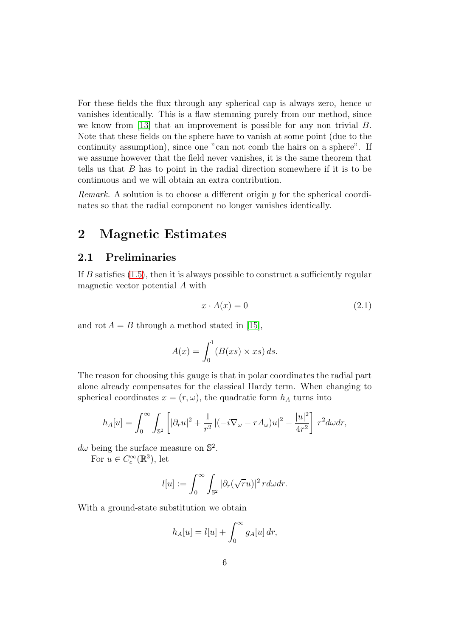For these fields the flux through any spherical cap is always zero, hence  $w$ vanishes identically. This is a flaw stemming purely from our method, since we know from [\[13\]](#page-21-0) that an improvement is possible for any non trivial  $B$ . Note that these fields on the sphere have to vanish at some point (due to the continuity assumption), since one "can not comb the hairs on a sphere". If we assume however that the field never vanishes, it is the same theorem that tells us that  $B$  has to point in the radial direction somewhere if it is to be continuous and we will obtain an extra contribution.

Remark. A solution is to choose a different origin y for the spherical coordinates so that the radial component no longer vanishes identically.

### 2 Magnetic Estimates

### 2.1 Preliminaries

If  $B$  satisfies  $(1.5)$ , then it is always possible to construct a sufficiently regular magnetic vector potential A with

$$
x \cdot A(x) = 0 \tag{2.1}
$$

and rot  $A = B$  through a method stated in [\[15\]](#page-21-5),

$$
A(x) = \int_0^1 (B(xs) \times xs) ds.
$$

The reason for choosing this gauge is that in polar coordinates the radial part alone already compensates for the classical Hardy term. When changing to spherical coordinates  $x = (r, \omega)$ , the quadratic form  $h_A$  turns into

$$
h_A[u] = \int_0^\infty \int_{\mathbb{S}^2} \left[ |\partial_r u|^2 + \frac{1}{r^2} |(-i\nabla_\omega - rA_\omega)u|^2 - \frac{|u|^2}{4r^2} \right] r^2 d\omega dr,
$$

 $d\omega$  being the surface measure on  $\mathbb{S}^2$ .

For  $u \in C_c^{\infty}(\mathbb{R}^3)$ , let

$$
l[u] := \int_0^\infty \int_{\mathbb{S}^2} |\partial_r(\sqrt{r}u)|^2 \, r d\omega dr.
$$

With a ground-state substitution we obtain

$$
h_A[u] = l[u] + \int_0^\infty g_A[u] \, dr,
$$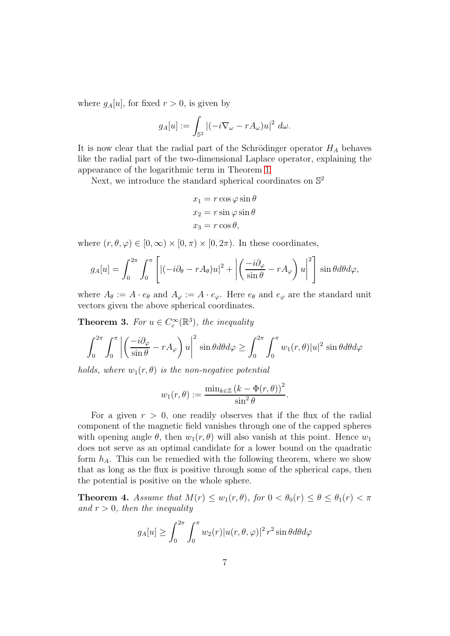where  $g_A[u]$ , for fixed  $r > 0$ , is given by

$$
g_A[u] := \int_{\mathbb{S}^2} |(-i\nabla_\omega - rA_\omega)u|^2 \ d\omega.
$$

It is now clear that the radial part of the Schrödinger operator  $H_A$  behaves like the radial part of the two-dimensional Laplace operator, explaining the appearance of the logarithmic term in Theorem [1.](#page-3-0)

Next, we introduce the standard spherical coordinates on  $\mathbb{S}^2$ 

$$
x_1 = r \cos \varphi \sin \theta
$$
  
\n
$$
x_2 = r \sin \varphi \sin \theta
$$
  
\n
$$
x_3 = r \cos \theta,
$$

where  $(r, \theta, \varphi) \in [0, \infty) \times [0, \pi) \times [0, 2\pi)$ . In these coordinates,

$$
g_A[u] = \int_0^{2\pi} \int_0^{\pi} \left[ \left| (-i\partial_\theta - rA_\theta)u \right|^2 + \left| \left( \frac{-i\partial_\varphi}{\sin \theta} - rA_\varphi \right)u \right|^2 \right] \sin \theta d\theta d\varphi,
$$

where  $A_{\theta} := A \cdot e_{\theta}$  and  $A_{\varphi} := A \cdot e_{\varphi}$ . Here  $e_{\theta}$  and  $e_{\varphi}$  are the standard unit vectors given the above spherical coordinates.

<span id="page-6-0"></span>**Theorem 3.** For  $u \in C_c^{\infty}(\mathbb{R}^3)$ , the inequality

$$
\int_0^{2\pi} \int_0^{\pi} \left| \left( \frac{-i\partial_\varphi}{\sin \theta} - rA_\varphi \right) u \right|^2 \sin \theta d\theta d\varphi \ge \int_0^{2\pi} \int_0^{\pi} w_1(r,\theta) |u|^2 \sin \theta d\theta d\varphi
$$

holds, where  $w_1(r, \theta)$  is the non-negative potential

$$
w_1(r,\theta) := \frac{\min_{k \in \mathbb{Z}} (k - \Phi(r,\theta))^2}{\sin^2 \theta}.
$$

For a given  $r > 0$ , one readily observes that if the flux of the radial component of the magnetic field vanishes through one of the capped spheres with opening angle  $\theta$ , then  $w_1(r, \theta)$  will also vanish at this point. Hence  $w_1$ does not serve as an optimal candidate for a lower bound on the quadratic form  $h_A$ . This can be remedied with the following theorem, where we show that as long as the flux is positive through some of the spherical caps, then the potential is positive on the whole sphere.

<span id="page-6-1"></span>**Theorem 4.** Assume that  $M(r) \leq w_1(r, \theta)$ , for  $0 < \theta_0(r) \leq \theta \leq \theta_1(r) < \pi$ and  $r > 0$ , then the inequality

$$
g_A[u] \ge \int_0^{2\pi} \int_0^{\pi} w_2(r) |u(r, \theta, \varphi)|^2 r^2 \sin \theta d\theta d\varphi
$$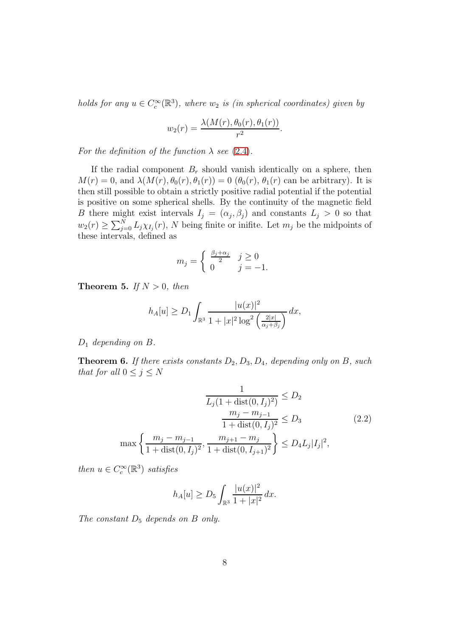holds for any  $u \in C_c^{\infty}(\mathbb{R}^3)$ , where  $w_2$  is (in spherical coordinates) given by

$$
w_2(r) = \frac{\lambda(M(r), \theta_0(r), \theta_1(r))}{r^2}.
$$

For the definition of the function  $\lambda$  see [\(2.4\)](#page-10-0).

If the radial component  $B_r$  should vanish identically on a sphere, then  $M(r) = 0$ , and  $\lambda(M(r), \theta_0(r), \theta_1(r)) = 0$   $(\theta_0(r), \theta_1(r))$  can be arbitrary). It is then still possible to obtain a strictly positive radial potential if the potential is positive on some spherical shells. By the continuity of the magnetic field B there might exist intervals  $I_j = (\alpha_j, \beta_j)$  and constants  $L_j > 0$  so that  $w_2(r) \ge \sum_{j=0}^{N} L_j \chi_{I_j}(r)$ , N being finite or inifite. Let  $m_j$  be the midpoints of these intervals, defined as

$$
m_j = \begin{cases} \frac{\beta_j + \alpha_j}{2} & j \ge 0\\ 0 & j = -1. \end{cases}
$$

<span id="page-7-1"></span>**Theorem 5.** If  $N > 0$ , then

$$
h_A[u] \ge D_1 \int_{\mathbb{R}^3} \frac{|u(x)|^2}{1+|x|^2 \log^2 \left(\frac{2|x|}{\alpha_j+\beta_j}\right)} \, dx,
$$

 $D_1$  depending on B.

<span id="page-7-0"></span>**Theorem 6.** If there exists constants  $D_2, D_3, D_4$ , depending only on B, such that for all  $0 \leq j \leq N$ 

$$
\frac{1}{L_j(1 + \text{dist}(0, I_j)^2)} \le D_2
$$
\n
$$
\frac{m_j - m_{j-1}}{1 + \text{dist}(0, I_j)^2} \le D_3 \tag{2.2}
$$
\n
$$
\max\left\{\frac{m_j - m_{j-1}}{1 + \text{dist}(0, I_j)^2}, \frac{m_{j+1} - m_j}{1 + \text{dist}(0, I_{j+1})^2}\right\} \le D_4 L_j |I_j|^2,
$$

then  $u \in C_c^{\infty}(\mathbb{R}^3)$  satisfies

$$
h_A[u] \ge D_5 \int_{\mathbb{R}^3} \frac{|u(x)|^2}{1+|x|^2} \, dx.
$$

The constant  $D_5$  depends on B only.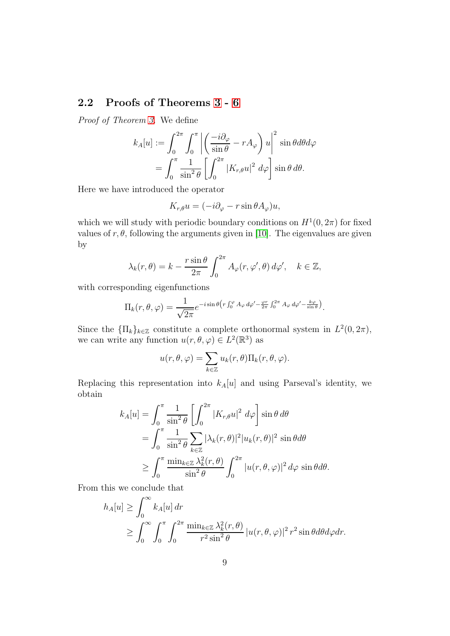### 2.2 Proofs of Theorems [3](#page-6-0) - [6](#page-7-0)

Proof of Theorem [3.](#page-6-0) We define

$$
k_A[u] := \int_0^{2\pi} \int_0^{\pi} \left| \left( \frac{-i\partial_\varphi}{\sin \theta} - rA_\varphi \right) u \right|^2 \sin \theta d\theta d\varphi
$$
  
= 
$$
\int_0^{\pi} \frac{1}{\sin^2 \theta} \left[ \int_0^{2\pi} |K_{r,\theta}u|^2 d\varphi \right] \sin \theta d\theta.
$$

Here we have introduced the operator

$$
K_{r,\theta}u = (-i\partial_{\varphi} - r\sin\theta A_{\varphi})u,
$$

which we will study with periodic boundary conditions on  $H^1(0, 2\pi)$  for fixed values of r,  $\theta$ , following the arguments given in [\[10\]](#page-21-1). The eigenvalues are given by

$$
\lambda_k(r,\theta) = k - \frac{r \sin \theta}{2\pi} \int_0^{2\pi} A_\varphi(r,\varphi',\theta) d\varphi', \quad k \in \mathbb{Z},
$$

with corresponding eigenfunctions

$$
\Pi_k(r,\theta,\varphi) = \frac{1}{\sqrt{2\pi}} e^{-i\sin\theta \left(r\int_0^{\varphi} A_{\varphi} d\varphi' - \frac{\varphi r}{2\pi} \int_0^{2\pi} A_{\varphi} d\varphi' - \frac{k\varphi}{\sin\theta}\right)}.
$$

Since the  ${\{\Pi_k\}_{k\in\mathbb{Z}}}$  constitute a complete orthonormal system in  $L^2(0, 2\pi)$ , we can write any function  $u(r, \theta, \varphi) \in L^2(\mathbb{R}^3)$  as

$$
u(r, \theta, \varphi) = \sum_{k \in \mathbb{Z}} u_k(r, \theta) \Pi_k(r, \theta, \varphi).
$$

Replacing this representation into  $k_A[u]$  and using Parseval's identity, we obtain

$$
k_A[u] = \int_0^\pi \frac{1}{\sin^2 \theta} \left[ \int_0^{2\pi} |K_{r,\theta}u|^2 \, d\varphi \right] \sin \theta \, d\theta
$$
  
= 
$$
\int_0^\pi \frac{1}{\sin^2 \theta} \sum_{k \in \mathbb{Z}} |\lambda_k(r,\theta)|^2 |u_k(r,\theta)|^2 \sin \theta d\theta
$$
  

$$
\geq \int_0^\pi \frac{\min_{k \in \mathbb{Z}} \lambda_k^2(r,\theta)}{\sin^2 \theta} \int_0^{2\pi} |u(r,\theta,\varphi)|^2 \, d\varphi \sin \theta d\theta.
$$

From this we conclude that

$$
h_A[u] \ge \int_0^\infty k_A[u] \, dr
$$
  
 
$$
\ge \int_0^\infty \int_0^\pi \int_0^{2\pi} \frac{\min_{k \in \mathbb{Z}} \lambda_k^2(r,\theta)}{r^2 \sin^2 \theta} |u(r,\theta,\varphi)|^2 r^2 \sin \theta d\theta d\varphi dr.
$$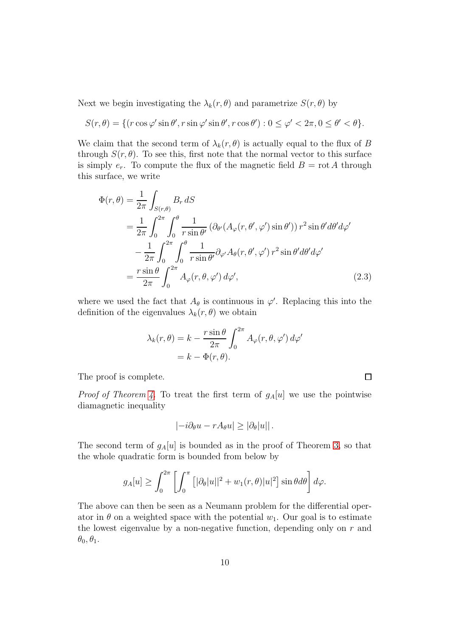Next we begin investigating the  $\lambda_k(r, \theta)$  and parametrize  $S(r, \theta)$  by

$$
S(r,\theta) = \{ (r\cos\varphi'\sin\theta', r\sin\varphi'\sin\theta', r\cos\theta') : 0 \le \varphi' < 2\pi, 0 \le \theta' < \theta \}.
$$

We claim that the second term of  $\lambda_k(r, \theta)$  is actually equal to the flux of B through  $S(r, \theta)$ . To see this, first note that the normal vector to this surface is simply  $e_r$ . To compute the flux of the magnetic field  $B = \text{rot } A$  through this surface, we write

$$
\Phi(r,\theta) = \frac{1}{2\pi} \int_{S(r,\theta)} B_r \, dS
$$
\n
$$
= \frac{1}{2\pi} \int_0^{2\pi} \int_0^{\theta} \frac{1}{r \sin \theta'} \left( \partial_{\theta'} (A_{\varphi}(r,\theta',\varphi') \sin \theta') \right) r^2 \sin \theta' d\theta' d\varphi'
$$
\n
$$
- \frac{1}{2\pi} \int_0^{2\pi} \int_0^{\theta} \frac{1}{r \sin \theta'} \partial_{\varphi'} A_{\theta}(r,\theta',\varphi') r^2 \sin \theta' d\theta' d\varphi'
$$
\n
$$
= \frac{r \sin \theta}{2\pi} \int_0^{2\pi} A_{\varphi}(r,\theta,\varphi') d\varphi', \tag{2.3}
$$

where we used the fact that  $A_{\theta}$  is continuous in  $\varphi'$ . Replacing this into the definition of the eigenvalues  $\lambda_k(r, \theta)$  we obtain

$$
\lambda_k(r,\theta) = k - \frac{r \sin \theta}{2\pi} \int_0^{2\pi} A_\varphi(r,\theta,\varphi') d\varphi'
$$
  
=  $k - \Phi(r,\theta).$ 

The proof is complete.

*Proof of Theorem [4.](#page-6-1)* To treat the first term of  $g_A[u]$  we use the pointwise diamagnetic inequality

<span id="page-9-0"></span> $\Box$ 

$$
|-i\partial_{\theta}u - rA_{\theta}u| \geq |\partial_{\theta}|u||.
$$

The second term of  $g_A[u]$  is bounded as in the proof of Theorem [3,](#page-6-0) so that the whole quadratic form is bounded from below by

$$
g_A[u] \ge \int_0^{2\pi} \left[ \int_0^{\pi} \left[ |\partial_\theta| u| \right]^2 + w_1(r, \theta) |u|^2 \right] \sin \theta d\theta \right] d\varphi.
$$

The above can then be seen as a Neumann problem for the differential operator in  $\theta$  on a weighted space with the potential  $w_1$ . Our goal is to estimate the lowest eigenvalue by a non-negative function, depending only on  $r$  and  $\theta_0, \theta_1.$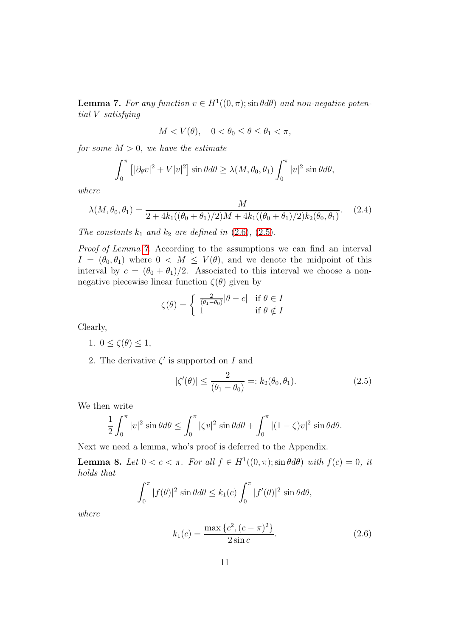<span id="page-10-3"></span>**Lemma 7.** For any function  $v \in H^1((0, \pi); \sin \theta d\theta)$  and non-negative potential V satisfying

<span id="page-10-0"></span>
$$
M < V(\theta), \quad 0 < \theta_0 \le \theta \le \theta_1 < \pi,
$$

for some  $M > 0$ , we have the estimate

$$
\int_0^{\pi} \left[ |\partial_{\theta} v|^2 + V|v|^2 \right] \sin \theta d\theta \ge \lambda(M, \theta_0, \theta_1) \int_0^{\pi} |v|^2 \sin \theta d\theta,
$$

where

$$
\lambda(M, \theta_0, \theta_1) = \frac{M}{2 + 4k_1((\theta_0 + \theta_1)/2)M + 4k_1((\theta_0 + \theta_1)/2)k_2(\theta_0, \theta_1)}.
$$
 (2.4)

The constants  $k_1$  and  $k_2$  are defined in  $(2.6)$ ,  $(2.5)$ .

Proof of Lemma [7.](#page-10-3) According to the assumptions we can find an interval  $I = (\theta_0, \theta_1)$  where  $0 < M \leq V(\theta)$ , and we denote the midpoint of this interval by  $c = (\theta_0 + \theta_1)/2$ . Associated to this interval we choose a nonnegative piecewise linear function  $\zeta(\theta)$  given by

$$
\zeta(\theta) = \begin{cases} \frac{2}{(\theta_1 - \theta_0)} |\theta - c| & \text{if } \theta \in I \\ 1 & \text{if } \theta \notin I \end{cases}
$$

Clearly,

- 1.  $0 \le \zeta(\theta) \le 1$ ,
- 2. The derivative  $\zeta'$  is supported on I and

<span id="page-10-2"></span>
$$
|\zeta'(\theta)| \le \frac{2}{(\theta_1 - \theta_0)} =: k_2(\theta_0, \theta_1). \tag{2.5}
$$

We then write

$$
\frac{1}{2} \int_0^{\pi} |v|^2 \sin \theta d\theta \le \int_0^{\pi} |\zeta v|^2 \sin \theta d\theta + \int_0^{\pi} |(1-\zeta)v|^2 \sin \theta d\theta.
$$

Next we need a lemma, who's proof is deferred to the Appendix.

<span id="page-10-4"></span>**Lemma 8.** Let  $0 < c < \pi$ . For all  $f \in H^1((0, \pi); \sin \theta d\theta)$  with  $f(c) = 0$ , it holds that

$$
\int_0^{\pi} |f(\theta)|^2 \sin \theta d\theta \le k_1(c) \int_0^{\pi} |f'(\theta)|^2 \sin \theta d\theta,
$$

where

<span id="page-10-1"></span>
$$
k_1(c) = \frac{\max\{c^2, (c - \pi)^2\}}{2\sin c}.
$$
 (2.6)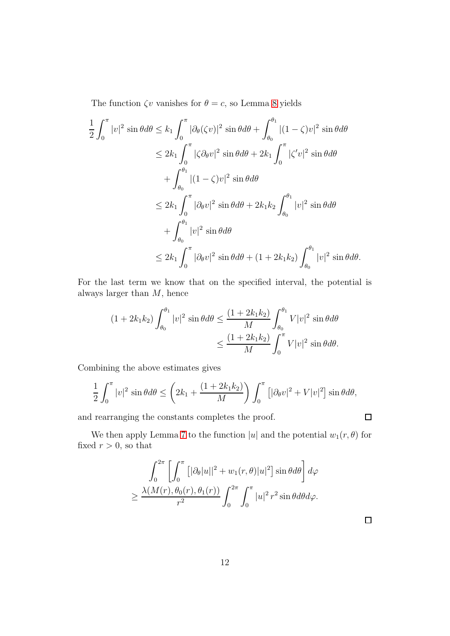The function  $\zeta v$  vanishes for  $\theta = c$ , so Lemma [8](#page-10-4) yields

$$
\frac{1}{2} \int_0^\pi |v|^2 \sin \theta d\theta \le k_1 \int_0^\pi |\partial_\theta(\zeta v)|^2 \sin \theta d\theta + \int_{\theta_0}^{\theta_1} |(1-\zeta)v|^2 \sin \theta d\theta
$$
  
\n
$$
\le 2k_1 \int_0^\pi |\zeta \partial_\theta v|^2 \sin \theta d\theta + 2k_1 \int_0^\pi |\zeta' v|^2 \sin \theta d\theta
$$
  
\n
$$
+ \int_{\theta_0}^{\theta_1} |(1-\zeta)v|^2 \sin \theta d\theta
$$
  
\n
$$
\le 2k_1 \int_0^\pi |\partial_\theta v|^2 \sin \theta d\theta + 2k_1 k_2 \int_{\theta_0}^{\theta_1} |v|^2 \sin \theta d\theta
$$
  
\n
$$
+ \int_{\theta_0}^{\theta_1} |v|^2 \sin \theta d\theta
$$
  
\n
$$
\le 2k_1 \int_0^\pi |\partial_\theta v|^2 \sin \theta d\theta + (1 + 2k_1 k_2) \int_{\theta_0}^{\theta_1} |v|^2 \sin \theta d\theta.
$$

For the last term we know that on the specified interval, the potential is always larger than  $M$ , hence

$$
(1+2k_1k_2)\int_{\theta_0}^{\theta_1}|v|^2\sin\theta d\theta \le \frac{(1+2k_1k_2)}{M}\int_{\theta_0}^{\theta_1}V|v|^2\sin\theta d\theta
$$
  

$$
\le \frac{(1+2k_1k_2)}{M}\int_0^{\pi}V|v|^2\sin\theta d\theta.
$$

Combining the above estimates gives

$$
\frac{1}{2} \int_0^{\pi} |v|^2 \sin \theta d\theta \le \left(2k_1 + \frac{(1+2k_1k_2)}{M}\right) \int_0^{\pi} \left[|\partial_\theta v|^2 + V|v|^2\right] \sin \theta d\theta,
$$

and rearranging the constants completes the proof.

We then apply Lemma [7](#page-10-3) to the function  $|u|$  and the potential  $w_1(r, \theta)$  for fixed  $r > 0$ , so that

$$
\int_0^{2\pi} \left[ \int_0^{\pi} \left[ |\partial_{\theta}|u| \right]^2 + w_1(r, \theta) |u|^2 \right] \sin \theta d\theta \right] d\varphi
$$
  
 
$$
\geq \frac{\lambda(M(r), \theta_0(r), \theta_1(r))}{r^2} \int_0^{2\pi} \int_0^{\pi} |u|^2 r^2 \sin \theta d\theta d\varphi.
$$

 $\Box$ 

 $\Box$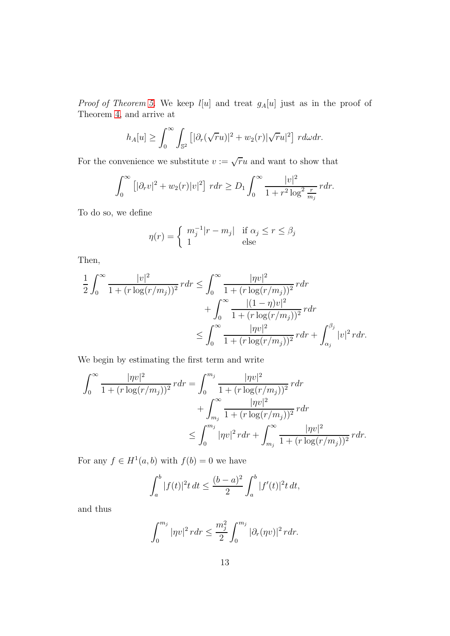*Proof of Theorem [5.](#page-7-1)* We keep  $l[u]$  and treat  $g_A[u]$  just as in the proof of Theorem [4,](#page-6-1) and arrive at

$$
h_A[u] \ge \int_0^\infty \int_{\mathbb{S}^2} \left[ |\partial_r(\sqrt{r}u)|^2 + w_2(r)|\sqrt{r}u|^2 \right] r d\omega dr.
$$

For the convenience we substitute  $v := \sqrt{r}u$  and want to show that

$$
\int_0^{\infty} \left[ |\partial_r v|^2 + w_2(r)|v|^2 \right] r dr \ge D_1 \int_0^{\infty} \frac{|v|^2}{1 + r^2 \log^2 \frac{r}{m_j}} r dr.
$$

To do so, we define

$$
\eta(r) = \begin{cases} m_j^{-1}|r - m_j| & \text{if } \alpha_j \le r \le \beta_j \\ 1 & \text{else} \end{cases}
$$

Then,

$$
\frac{1}{2} \int_0^\infty \frac{|v|^2}{1 + (r \log(r/m_j))^2} r dr \le \int_0^\infty \frac{|\eta v|^2}{1 + (r \log(r/m_j))^2} r dr \n+ \int_0^\infty \frac{|(1 - \eta)v|^2}{1 + (r \log(r/m_j))^2} r dr \n\le \int_0^\infty \frac{|\eta v|^2}{1 + (r \log(r/m_j))^2} r dr + \int_{\alpha_j}^{\beta_j} |v|^2 r dr.
$$

We begin by estimating the first term and write

$$
\int_0^\infty \frac{|\eta v|^2}{1 + (r \log(r/m_j))^2} r dr = \int_0^{m_j} \frac{|\eta v|^2}{1 + (r \log(r/m_j))^2} r dr + \int_{m_j}^\infty \frac{|\eta v|^2}{1 + (r \log(r/m_j))^2} r dr + \int_{m_j}^\infty \frac{|\eta v|^2}{1 + (r \log(r/m_j))^2} r dr + \int_{m_j}^\infty \frac{|\eta v|^2}{1 + (r \log(r/m_j))^2} r dr.
$$

For any  $f \in H^1(a, b)$  with  $f(b) = 0$  we have

$$
\int_{a}^{b} |f(t)|^{2} t dt \le \frac{(b-a)^{2}}{2} \int_{a}^{b} |f'(t)|^{2} t dt,
$$

and thus

$$
\int_0^{m_j} |\eta v|^2 r dr \le \frac{m_j^2}{2} \int_0^{m_j} |\partial_r(\eta v)|^2 r dr.
$$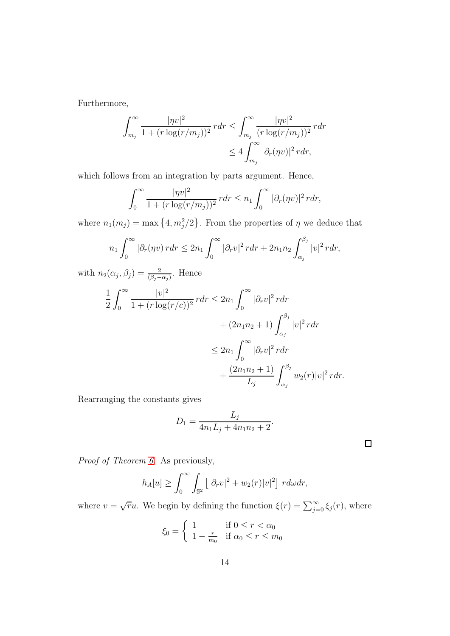Furthermore,

$$
\int_{m_j}^{\infty} \frac{|\eta v|^2}{1 + (r \log(r/m_j))^2} r dr \le \int_{m_j}^{\infty} \frac{|\eta v|^2}{(r \log(r/m_j))^2} r dr
$$
  

$$
\le 4 \int_{m_j}^{\infty} |\partial_r(\eta v)|^2 r dr,
$$

which follows from an integration by parts argument. Hence,

$$
\int_0^\infty \frac{|\eta v|^2}{1 + (r \log(r/m_j))^2} r dr \le n_1 \int_0^\infty |\partial_r(\eta v)|^2 r dr,
$$

where  $n_1(m_j) = \max\{4, m_j^2/2\}$ . From the properties of  $\eta$  we deduce that

$$
n_1 \int_0^\infty |\partial_r(\eta v) r dr \le 2n_1 \int_0^\infty |\partial_r v|^2 r dr + 2n_1 n_2 \int_{\alpha_j}^{\beta_j} |v|^2 r dr,
$$

with  $n_2(\alpha_j, \beta_j) = \frac{2}{(\beta_j - \alpha_j)}$ . Hence

$$
\frac{1}{2} \int_0^\infty \frac{|v|^2}{1 + (r \log(r/c))^2} r dr \le 2n_1 \int_0^\infty |\partial_r v|^2 r dr \n+ (2n_1 n_2 + 1) \int_{\alpha_j}^{\beta_j} |v|^2 r dr \n\le 2n_1 \int_0^\infty |\partial_r v|^2 r dr \n+ \frac{(2n_1 n_2 + 1)}{L_j} \int_{\alpha_j}^{\beta_j} w_2(r) |v|^2 r dr.
$$

Rearranging the constants gives

$$
D_1 = \frac{L_j}{4n_1L_j + 4n_1n_2 + 2}.
$$

Proof of Theorem [6.](#page-7-0) As previously,

$$
h_A[u] \ge \int_0^\infty \int_{\mathbb{S}^2} \left[ |\partial_r v|^2 + w_2(r)|v|^2 \right] r d\omega dr,
$$

where  $v = \sqrt{r}u$ . We begin by defining the function  $\xi(r) = \sum_{j=0}^{\infty} \xi_j(r)$ , where

$$
\xi_0 = \begin{cases} 1 & \text{if } 0 \le r < \alpha_0 \\ 1 - \frac{r}{m_0} & \text{if } \alpha_0 \le r \le m_0 \end{cases}
$$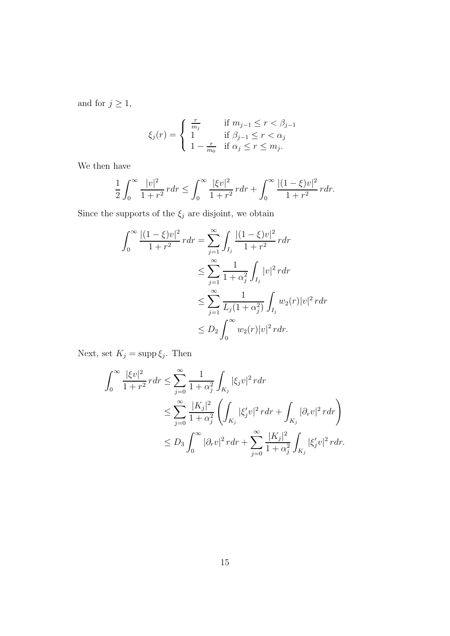and for  $j \geq 1$ ,

$$
\xi_j(r) = \begin{cases} \frac{r}{m_j} & \text{if } m_{j-1} \le r < \beta_{j-1} \\ 1 & \text{if } \beta_{j-1} \le r < \alpha_j \\ 1 - \frac{r}{m_0} & \text{if } \alpha_j \le r \le m_j. \end{cases}
$$

We then have

$$
\frac{1}{2} \int_0^\infty \frac{|v|^2}{1+r^2} r dr \le \int_0^\infty \frac{|\xi v|^2}{1+r^2} r dr + \int_0^\infty \frac{|(1-\xi)v|^2}{1+r^2} r dr.
$$

Since the supports of the  $\xi_j$  are disjoint, we obtain

$$
\int_0^\infty \frac{|(1-\xi)v|^2}{1+r^2} r dr = \sum_{j=1}^\infty \int_{I_j} \frac{|(1-\xi)v|^2}{1+r^2} r dr
$$
  
\n
$$
\leq \sum_{j=1}^\infty \frac{1}{1+\alpha_j^2} \int_{I_j} |v|^2 r dr
$$
  
\n
$$
\leq \sum_{j=1}^\infty \frac{1}{L_j(1+\alpha_j^2)} \int_{I_j} w_2(r) |v|^2 r dr
$$
  
\n
$$
\leq D_2 \int_0^\infty w_2(r) |v|^2 r dr.
$$

Next, set  $K_j = \text{supp }\xi_j$ . Then

$$
\int_0^\infty \frac{|\xi v|^2}{1+r^2} r dr \le \sum_{j=0}^\infty \frac{1}{1+\alpha_j^2} \int_{K_j} |\xi_j v|^2 r dr
$$
  

$$
\le \sum_{j=0}^\infty \frac{|K_j|^2}{1+\alpha_j^2} \left( \int_{K_j} |\xi_j' v|^2 r dr + \int_{K_j} |\partial_r v|^2 r dr \right)
$$
  

$$
\le D_3 \int_0^\infty |\partial_r v|^2 r dr + \sum_{j=0}^\infty \frac{|K_j|^2}{1+\alpha_j^2} \int_{K_j} |\xi_j' v|^2 r dr.
$$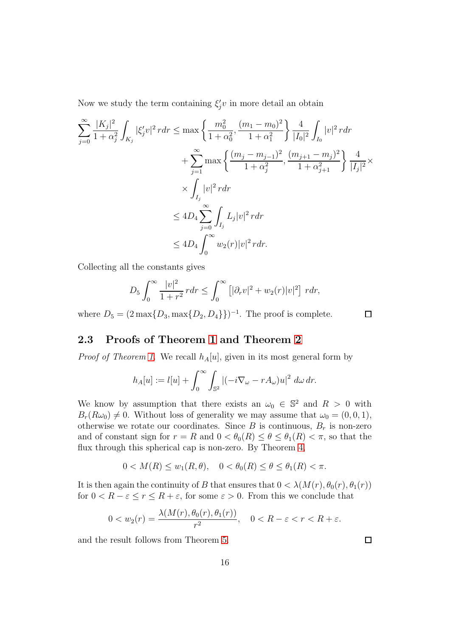Now we study the term containing  $\xi'_j v$  in more detail an obtain

$$
\sum_{j=0}^{\infty} \frac{|K_j|^2}{1+\alpha_j^2} \int_{K_j} |\xi_j' v|^2 r dr \le \max \left\{ \frac{m_0^2}{1+\alpha_0^2}, \frac{(m_1 - m_0)^2}{1+\alpha_1^2} \right\} \frac{4}{|I_0|^2} \int_{I_0} |v|^2 r dr
$$
  
+ 
$$
\sum_{j=1}^{\infty} \max \left\{ \frac{(m_j - m_{j-1})^2}{1+\alpha_j^2}, \frac{(m_{j+1} - m_j)^2}{1+\alpha_{j+1}^2} \right\} \frac{4}{|I_j|^2} \times
$$
  

$$
\times \int_{I_j} |v|^2 r dr
$$
  

$$
\le 4D_4 \sum_{j=0}^{\infty} \int_{I_j} L_j |v|^2 r dr
$$
  

$$
\le 4D_4 \int_0^{\infty} w_2(r) |v|^2 r dr.
$$

Collecting all the constants gives

$$
D_5 \int_0^{\infty} \frac{|v|^2}{1+r^2} r dr \le \int_0^{\infty} \left[ |\partial_r v|^2 + w_2(r)|v|^2 \right] r dr,
$$

where  $D_5 = (2 \max\{D_3, \max\{D_2, D_4\}\})^{-1}$ . The proof is complete.

#### $\Box$

#### 2.3 Proofs of Theorem [1](#page-3-0) and Theorem [2](#page-4-0)

*Proof of Theorem [1.](#page-3-0)* We recall  $h_A[u]$ , given in its most general form by

$$
h_A[u] := l[u] + \int_0^\infty \int_{\mathbb{S}^2} |(-i\nabla_\omega - rA_\omega)u|^2 \, d\omega \, dr.
$$

We know by assumption that there exists an  $\omega_0 \in \mathbb{S}^2$  and  $R > 0$  with  $B_r(R\omega_0) \neq 0$ . Without loss of generality we may assume that  $\omega_0 = (0, 0, 1)$ , otherwise we rotate our coordinates. Since B is continuous,  $B_r$  is non-zero and of constant sign for  $r = R$  and  $0 < \theta_0(R) \le \theta \le \theta_1(R) < \pi$ , so that the flux through this spherical cap is non-zero. By Theorem [4,](#page-6-1)

$$
0 < M(R) \le w_1(R, \theta), \quad 0 < \theta_0(R) \le \theta \le \theta_1(R) < \pi.
$$

It is then again the continuity of B that ensures that  $0 < \lambda(M(r), \theta_0(r), \theta_1(r))$ for  $0 < R - \varepsilon \le r \le R + \varepsilon$ , for some  $\varepsilon > 0$ . From this we conclude that

$$
0 < w_2(r) = \frac{\lambda(M(r), \theta_0(r), \theta_1(r))}{r^2}, \quad 0 < R - \varepsilon < r < R + \varepsilon.
$$

and the result follows from Theorem [5.](#page-7-1)

 $\Box$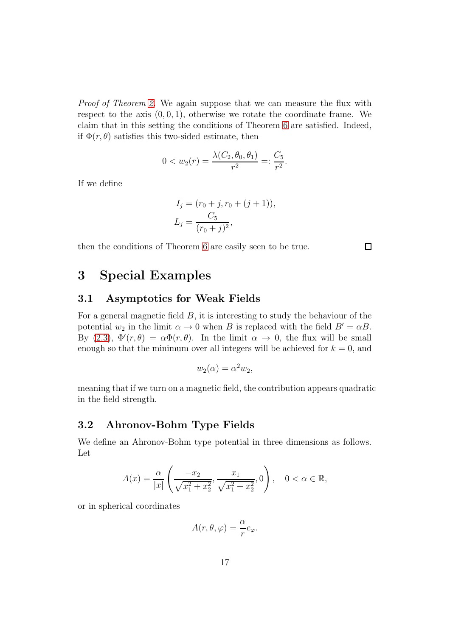Proof of Theorem [2.](#page-4-0) We again suppose that we can measure the flux with respect to the axis  $(0, 0, 1)$ , otherwise we rotate the coordinate frame. We claim that in this setting the conditions of Theorem [6](#page-7-0) are satisfied. Indeed, if  $\Phi(r, \theta)$  satisfies this two-sided estimate, then

$$
0 < w_2(r) = \frac{\lambda(C_2, \theta_0, \theta_1)}{r^2} =: \frac{C_5}{r^2}.
$$

If we define

$$
I_j = (r_0 + j, r_0 + (j + 1)),
$$
  
\n
$$
L_j = \frac{C_5}{(r_0 + j)^2},
$$

then the conditions of Theorem [6](#page-7-0) are easily seen to be true.

 $\Box$ 

### 3 Special Examples

#### 3.1 Asymptotics for Weak Fields

For a general magnetic field  $B$ , it is interesting to study the behaviour of the potential  $w_2$  in the limit  $\alpha \to 0$  when B is replaced with the field  $B' = \alpha B$ . By [\(2.3\)](#page-9-0),  $\Phi'(r,\theta) = \alpha \Phi(r,\theta)$ . In the limit  $\alpha \to 0$ , the flux will be small enough so that the minimum over all integers will be achieved for  $k = 0$ , and

$$
w_2(\alpha) = \alpha^2 w_2,
$$

meaning that if we turn on a magnetic field, the contribution appears quadratic in the field strength.

#### 3.2 Ahronov-Bohm Type Fields

We define an Ahronov-Bohm type potential in three dimensions as follows. Let

$$
A(x) = \frac{\alpha}{|x|} \left( \frac{-x_2}{\sqrt{x_1^2 + x_2^2}}, \frac{x_1}{\sqrt{x_1^2 + x_2^2}}, 0 \right), \quad 0 < \alpha \in \mathbb{R},
$$

or in spherical coordinates

$$
A(r,\theta,\varphi) = \frac{\alpha}{r}e_{\varphi}.
$$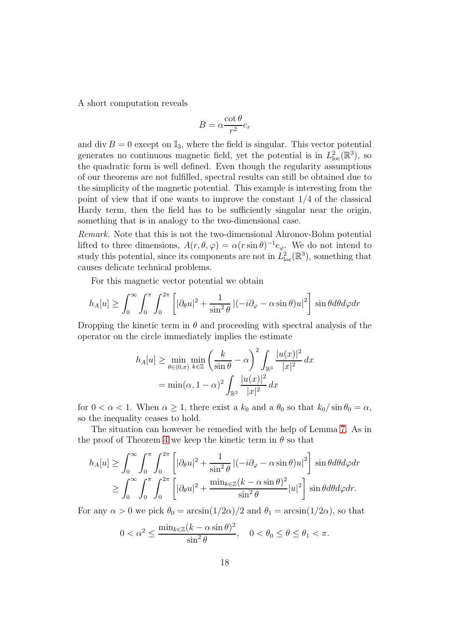A short computation reveals

$$
B = \alpha \frac{\cot \theta}{r^2} e_r
$$

and div  $B = 0$  except on  $\mathbb{I}_3$ , where the field is singular. This vector potential generates no continuous magnetic field, yet the potential is in  $L^2_{loc}(\mathbb{R}^3)$ , so the quadratic form is well defined. Even though the regularity assumptions of our theorems are not fulfilled, spectral results can still be obtained due to the simplicity of the magnetic potential. This example is interesting from the point of view that if one wants to improve the constant  $1/4$  of the classical Hardy term, then the field has to be sufficiently singular near the origin, something that is in analogy to the two-dimensional case.

Remark. Note that this is not the two-dimensional Ahronov-Bohm potential lifted to three dimensions,  $A(r, \theta, \varphi) = \alpha(r \sin \theta)^{-1} e_{\varphi}$ . We do not intend to study this potential, since its components are not in  $\dot{L}^2_{\text{loc}}(\mathbb{R}^3)$ , something that causes delicate technical problems.

For this magnetic vector potential we obtain

$$
h_A[u] \ge \int_0^\infty \int_0^\pi \int_0^{2\pi} \left[ |\partial_\theta u|^2 + \frac{1}{\sin^2 \theta} \left| (-i\partial_\varphi - \alpha \sin \theta) u \right|^2 \right] \sin \theta d\theta d\varphi dr
$$

Dropping the kinetic term in  $\theta$  and proceeding with spectral analysis of the operator on the circle immediately implies the estimate

$$
h_A[u] \ge \min_{\theta \in (0,\pi)} \min_{k \in \mathbb{Z}} \left(\frac{k}{\sin \theta} - \alpha\right)^2 \int_{\mathbb{R}^3} \frac{|u(x)|^2}{|x|^2} dx
$$

$$
= \min(\alpha, 1 - \alpha)^2 \int_{\mathbb{R}^3} \frac{|u(x)|^2}{|x|^2} dx
$$

for  $0 < \alpha < 1$ . When  $\alpha \ge 1$ , there exist a  $k_0$  and a  $\theta_0$  so that  $k_0 / \sin \theta_0 = \alpha$ , so the inequality ceases to hold.

The situation can however be remedied with the help of Lemma [7.](#page-10-3) As in the proof of Theorem [4](#page-6-1) we keep the kinetic term in  $\theta$  so that

$$
h_A[u] \ge \int_0^\infty \int_0^\pi \int_0^{2\pi} \left[ |\partial_\theta u|^2 + \frac{1}{\sin^2 \theta} |(-i\partial_\varphi - \alpha \sin \theta)u|^2 \right] \sin \theta d\theta d\varphi dr
$$
  
 
$$
\ge \int_0^\infty \int_0^\pi \int_0^{2\pi} \left[ |\partial_\theta u|^2 + \frac{\min_{k \in \mathbb{Z}} (k - \alpha \sin \theta)^2}{\sin^2 \theta} |u|^2 \right] \sin \theta d\theta d\varphi dr.
$$

For any  $\alpha > 0$  we pick  $\theta_0 = \arcsin(1/2\alpha)/2$  and  $\theta_1 = \arcsin(1/2\alpha)$ , so that

$$
0 < \alpha^2 \le \frac{\min_{k \in \mathbb{Z}} (k - \alpha \sin \theta)^2}{\sin^2 \theta}, \quad 0 < \theta_0 \le \theta \le \theta_1 < \pi.
$$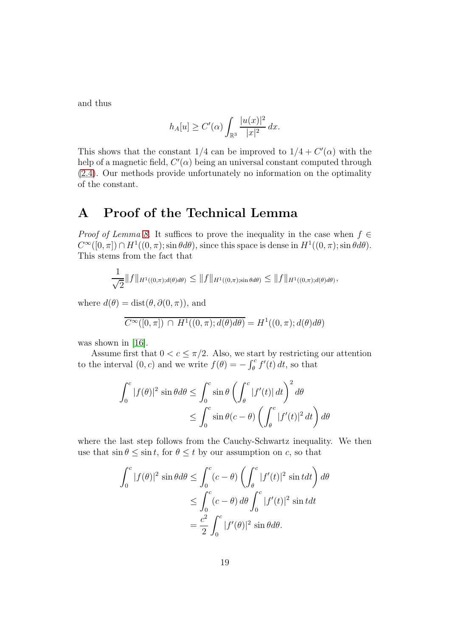and thus

$$
h_A[u] \ge C'(\alpha) \int_{\mathbb{R}^3} \frac{|u(x)|^2}{|x|^2} dx.
$$

This shows that the constant  $1/4$  can be improved to  $1/4 + C'(\alpha)$  with the help of a magnetic field,  $C'(\alpha)$  being an universal constant computed through [\(2.4\)](#page-10-0). Our methods provide unfortunately no information on the optimality of the constant.

# A Proof of the Technical Lemma

*Proof of Lemma [8.](#page-10-4)* It suffices to prove the inequality in the case when  $f \in$  $C^{\infty}([0,\pi]) \cap H^1((0,\pi);\sin\theta d\theta)$ , since this space is dense in  $H^1((0,\pi);\sin\theta d\theta)$ . This stems from the fact that

$$
\frac{1}{\sqrt{2}}||f||_{H^1((0,\pi);d(\theta)d\theta)} \leq ||f||_{H^1((0,\pi);\sin\theta d\theta)} \leq ||f||_{H^1((0,\pi);d(\theta)d\theta)},
$$

where  $d(\theta) = \text{dist}(\theta, \partial(0, \pi))$ , and

$$
\overline{C^{\infty}([0,\pi]) \cap H^1((0,\pi);d(\theta)d\theta)} = H^1((0,\pi);d(\theta)d\theta)
$$

was shown in [\[16\]](#page-21-6).

Assume first that  $0 < c \leq \pi/2$ . Also, we start by restricting our attention to the interval  $(0, c)$  and we write  $f(\theta) = -\int_{\theta}^{c} f'(t) dt$ , so that

$$
\int_0^c |f(\theta)|^2 \sin \theta d\theta \le \int_0^c \sin \theta \left( \int_\theta^c |f'(t)| dt \right)^2 d\theta
$$
  

$$
\le \int_0^c \sin \theta (c - \theta) \left( \int_\theta^c |f'(t)|^2 dt \right) d\theta
$$

where the last step follows from the Cauchy-Schwartz inequality. We then use that  $\sin \theta \leq \sin t$ , for  $\theta \leq t$  by our assumption on c, so that

$$
\int_0^c |f(\theta)|^2 \sin \theta d\theta \le \int_0^c (c - \theta) \left( \int_\theta^c |f'(t)|^2 \sin t dt \right) d\theta
$$
  
\n
$$
\le \int_0^c (c - \theta) d\theta \int_0^c |f'(t)|^2 \sin t dt
$$
  
\n
$$
= \frac{c^2}{2} \int_0^c |f'(\theta)|^2 \sin \theta d\theta.
$$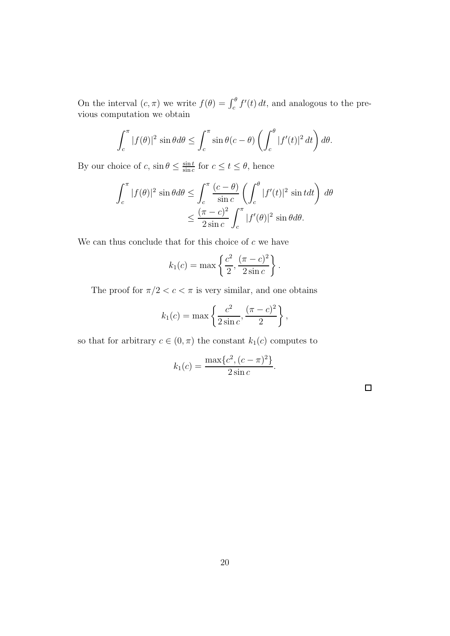On the interval  $(c, \pi)$  we write  $f(\theta) = \int_c^{\theta} f'(t) dt$ , and analogous to the previous computation we obtain

$$
\int_{c}^{\pi} |f(\theta)|^2 \sin \theta d\theta \le \int_{c}^{\pi} \sin \theta (c - \theta) \left( \int_{c}^{\theta} |f'(t)|^2 dt \right) d\theta.
$$

By our choice of  $c, \sin \theta \leq \frac{\sin t}{\sin c}$  $\frac{\sin t}{\sin c}$  for  $c \le t \le \theta$ , hence

$$
\int_{c}^{\pi} |f(\theta)|^2 \sin \theta d\theta \le \int_{c}^{\pi} \frac{(c-\theta)}{\sin c} \left( \int_{c}^{\theta} |f'(t)|^2 \sin t dt \right) d\theta
$$
  

$$
\le \frac{(\pi - c)^2}{2 \sin c} \int_{c}^{\pi} |f'(\theta)|^2 \sin \theta d\theta.
$$

We can thus conclude that for this choice of  $c$  we have

$$
k_1(c) = \max \left\{ \frac{c^2}{2}, \frac{(\pi - c)^2}{2 \sin c} \right\}.
$$

The proof for  $\pi/2 < c < \pi$  is very similar, and one obtains

$$
k_1(c) = \max \left\{ \frac{c^2}{2 \sin c}, \frac{(\pi - c)^2}{2} \right\},\,
$$

so that for arbitrary  $c \in (0, \pi)$  the constant  $k_1(c)$  computes to

$$
k_1(c) = \frac{\max\{c^2, (c - \pi)^2\}}{2 \sin c}.
$$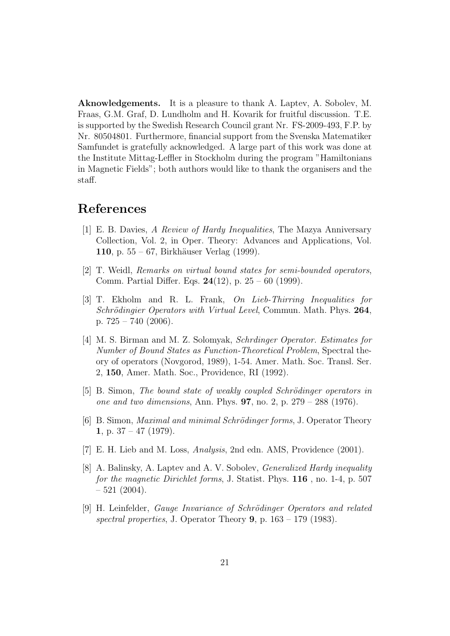Aknowledgements. It is a pleasure to thank A. Laptev, A. Sobolev, M. Fraas, G.M. Graf, D. Lundholm and H. Kovarik for fruitful discussion. T.E. is supported by the Swedish Research Council grant Nr. FS-2009-493, F.P. by Nr. 80504801. Furthermore, financial support from the Svenska Matematiker Samfundet is gratefully acknowledged. A large part of this work was done at the Institute Mittag-Leffler in Stockholm during the program "Hamiltonians in Magnetic Fields"; both authors would like to thank the organisers and the staff.

# <span id="page-20-0"></span>References

- [1] E. B. Davies, A Review of Hardy Inequalities, The Mazya Anniversary Collection, Vol. 2, in Oper. Theory: Advances and Applications, Vol. 110, p.  $55 - 67$ , Birkhäuser Verlag (1999).
- <span id="page-20-1"></span>[2] T. Weidl, Remarks on virtual bound states for semi-bounded operators, Comm. Partial Differ. Eqs.  $24(12)$ , p.  $25 - 60$  (1999).
- <span id="page-20-2"></span>[3] T. Ekholm and R. L. Frank, On Lieb-Thirring Inequalities for Schrödingier Operators with Virtual Level, Commun. Math. Phys. 264, p.  $725 - 740$  (2006).
- <span id="page-20-3"></span>[4] M. S. Birman and M. Z. Solomyak, Schrdinger Operator. Estimates for Number of Bound States as Function-Theoretical Problem, Spectral theory of operators (Novgorod, 1989), 1-54. Amer. Math. Soc. Transl. Ser. 2, 150, Amer. Math. Soc., Providence, RI (1992).
- <span id="page-20-4"></span>[5] B. Simon, The bound state of weakly coupled Schrödinger operators in one and two dimensions, Ann. Phys. **97**, no. 2, p.  $279 - 288$  (1976).
- <span id="page-20-5"></span>[6] B. Simon, *Maximal and minimal Schrödinger forms*, J. Operator Theory 1, p.  $37 - 47$  (1979).
- <span id="page-20-7"></span><span id="page-20-6"></span>[7] E. H. Lieb and M. Loss, Analysis, 2nd edn. AMS, Providence (2001).
- [8] A. Balinsky, A. Laptev and A. V. Sobolev, Generalized Hardy inequality for the magnetic Dirichlet forms, J. Statist. Phys. 116 , no. 1-4, p. 507  $-521$  (2004).
- <span id="page-20-8"></span>[9] H. Leinfelder, *Gauge Invariance of Schrödinger Operators and related* spectral properties, J. Operator Theory 9, p.  $163 - 179$  (1983).